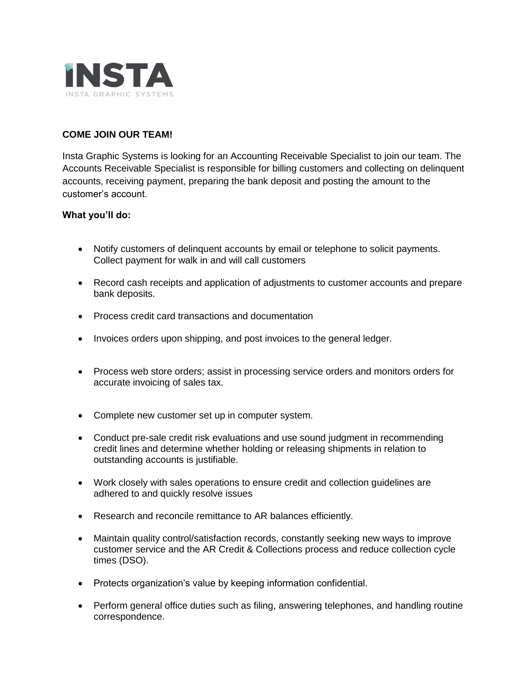

# **COME JOIN OUR TEAM!**

Insta Graphic Systems is looking for an Accounting Receivable Specialist to join our team. The Accounts Receivable Specialist is responsible for billing customers and collecting on delinquent accounts, receiving payment, preparing the bank deposit and posting the amount to the customer's account.

## **What you'll do:**

- Notify customers of delinquent accounts by email or telephone to solicit payments. Collect payment for walk in and will call customers
- Record cash receipts and application of adjustments to customer accounts and prepare bank deposits.
- Process credit card transactions and documentation
- Invoices orders upon shipping, and post invoices to the general ledger.
- Process web store orders; assist in processing service orders and monitors orders for accurate invoicing of sales tax.
- Complete new customer set up in computer system.
- Conduct pre-sale credit risk evaluations and use sound judgment in recommending credit lines and determine whether holding or releasing shipments in relation to outstanding accounts is justifiable.
- Work closely with sales operations to ensure credit and collection guidelines are adhered to and quickly resolve issues
- Research and reconcile remittance to AR balances efficiently.
- Maintain quality control/satisfaction records, constantly seeking new ways to improve customer service and the AR Credit & Collections process and reduce collection cycle times (DSO).
- Protects organization's value by keeping information confidential.
- Perform general office duties such as filing, answering telephones, and handling routine correspondence.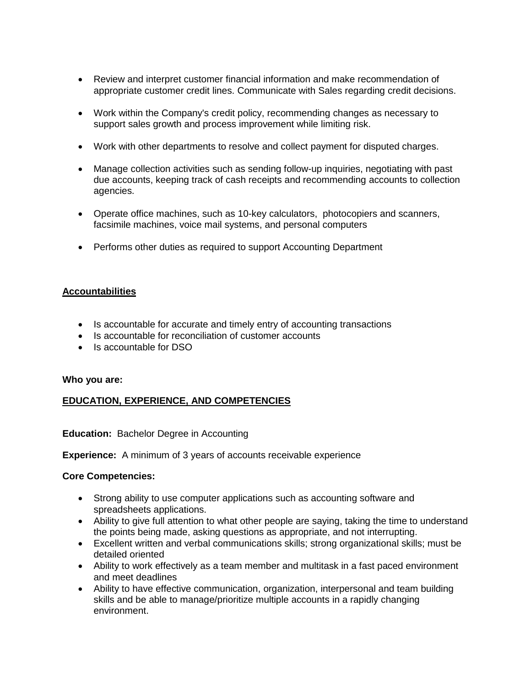- Review and interpret customer financial information and make recommendation of appropriate customer credit lines. Communicate with Sales regarding credit decisions.
- Work within the Company's credit policy, recommending changes as necessary to support sales growth and process improvement while limiting risk.
- Work with other departments to resolve and collect payment for disputed charges.
- Manage collection activities such as sending follow-up inquiries, negotiating with past due accounts, keeping track of cash receipts and recommending accounts to collection agencies.
- Operate office machines, such as 10-key calculators, photocopiers and scanners, facsimile machines, voice mail systems, and personal computers
- Performs other duties as required to support Accounting Department

## **Accountabilities**

- Is accountable for accurate and timely entry of accounting transactions
- Is accountable for reconciliation of customer accounts
- Is accountable for DSO

#### **Who you are:**

# **EDUCATION, EXPERIENCE, AND COMPETENCIES**

#### **Education:** Bachelor Degree in Accounting

**Experience:** A minimum of 3 years of accounts receivable experience

#### **Core Competencies:**

- Strong ability to use computer applications such as accounting software and spreadsheets applications.
- Ability to give full attention to what other people are saying, taking the time to understand the points being made, asking questions as appropriate, and not interrupting.
- Excellent written and verbal communications skills; strong organizational skills; must be detailed oriented
- Ability to work effectively as a team member and multitask in a fast paced environment and meet deadlines
- Ability to have effective communication, organization, interpersonal and team building skills and be able to manage/prioritize multiple accounts in a rapidly changing environment.